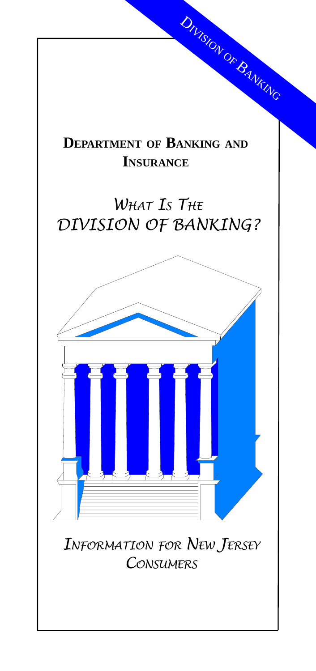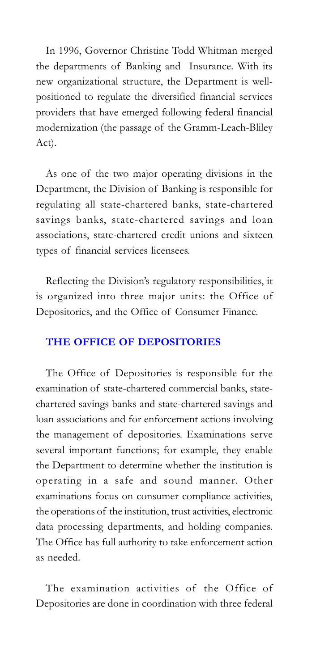In 1996, Governor Christine Todd Whitman merged the departments of Banking and Insurance. With its new organizational structure, the Department is wellpositioned to regulate the diversified financial services providers that have emerged following federal financial modernization (the passage of the Gramm-Leach-Bliley Act).

As one of the two major operating divisions in the Department, the Division of Banking is responsible for regulating all state-chartered banks, state-chartered savings banks, state-chartered savings and loan associations, state-chartered credit unions and sixteen types of financial services licensees.

Reflecting the Division's regulatory responsibilities, it is organized into three major units: the Office of Depositories, and the Office of Consumer Finance.

## THE OFFICE OF DEPOSITORIES

The Office of Depositories is responsible for the examination of state-chartered commercial banks, statechartered savings banks and state-chartered savings and loan associations and for enforcement actions involving the management of depositories. Examinations serve several important functions; for example, they enable the Department to determine whether the institution is operating in a safe and sound manner. Other examinations focus on consumer compliance activities, the operations of the institution, trust activities, electronic data processing departments, and holding companies. The Office has full authority to take enforcement action as needed.

The examination activities of the Office of Depositories are done in coordination with three federal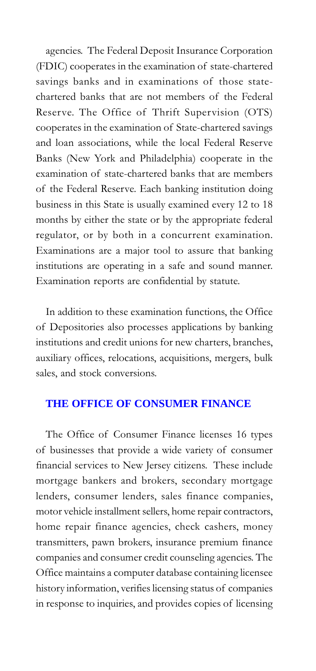agencies. The Federal Deposit Insurance Corporation (FDIC) cooperates in the examination of state-chartered savings banks and in examinations of those statechartered banks that are not members of the Federal Reserve. The Office of Thrift Supervision (OTS) cooperates in the examination of State-chartered savings and loan associations, while the local Federal Reserve Banks (New York and Philadelphia) cooperate in the examination of state-chartered banks that are members of the Federal Reserve. Each banking institution doing business in this State is usually examined every 12 to 18 months by either the state or by the appropriate federal regulator, or by both in a concurrent examination. Examinations are a major tool to assure that banking institutions are operating in a safe and sound manner. Examination reports are confidential by statute.

In addition to these examination functions, the Office of Depositories also processes applications by banking institutions and credit unions for new charters, branches, auxiliary offices, relocations, acquisitions, mergers, bulk sales, and stock conversions.

## **THE OFFICE OF CONSUMER FINANCE**

The Office of Consumer Finance licenses 16 types of businesses that provide a wide variety of consumer financial services to New Jersey citizens. These include mortgage bankers and brokers, secondary mortgage lenders, consumer lenders, sales finance companies, motor vehicle installment sellers, home repair contractors, home repair finance agencies, check cashers, money transmitters, pawn brokers, insurance premium finance companies and consumer credit counseling agencies. The Office maintains a computer database containing licensee history information, verifies licensing status of companies in response to inquiries, and provides copies of licensing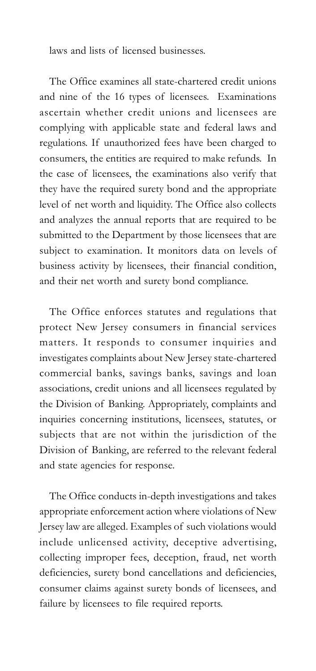laws and lists of licensed businesses.

The Office examines all state-chartered credit unions and nine of the 16 types of licensees. Examinations ascertain whether credit unions and licensees are complying with applicable state and federal laws and regulations. If unauthorized fees have been charged to consumers, the entities are required to make refunds. In the case of licensees, the examinations also verify that they have the required surety bond and the appropriate level of net worth and liquidity. The Office also collects and analyzes the annual reports that are required to be submitted to the Department by those licensees that are subject to examination. It monitors data on levels of business activity by licensees, their financial condition, and their net worth and surety bond compliance.

The Office enforces statutes and regulations that protect New Jersey consumers in financial services matters. It responds to consumer inquiries and investigates complaints about New Jersey state-chartered commercial banks, savings banks, savings and loan associations, credit unions and all licensees regulated by the Division of Banking. Appropriately, complaints and inquiries concerning institutions, licensees, statutes, or subjects that are not within the jurisdiction of the Division of Banking, are referred to the relevant federal and state agencies for response.

The Office conducts in-depth investigations and takes appropriate enforcement action where violations of New Jersey law are alleged. Examples of such violations would include unlicensed activity, deceptive advertising, collecting improper fees, deception, fraud, net worth deficiencies, surety bond cancellations and deficiencies, consumer claims against surety bonds of licensees, and failure by licensees to file required reports.